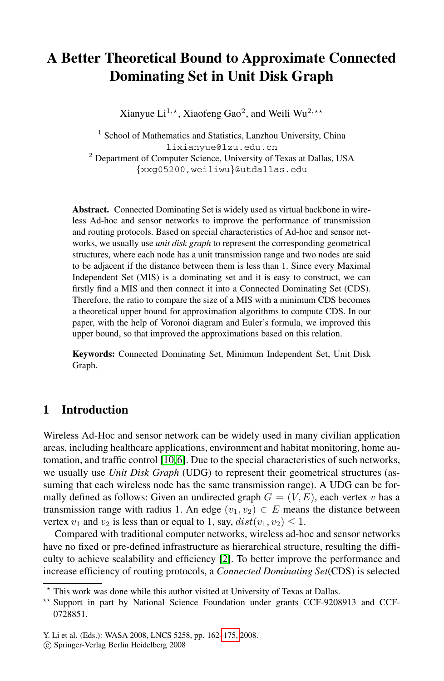# **A Better Theoretical Bound to Approximate Connected Dominating Set in Unit Disk Graph**

Xianyue Li<sup>1,\*</sup>, Xiaofeng Gao<sup>2</sup>, and Weili Wu<sup>2,\*\*</sup>

<sup>1</sup> School of Mathematics and Statistics, Lanzhou University, China lixianyue@lzu.edu.cn <sup>2</sup> Department of Computer Science, University of Texas at Dallas, USA {xxg05200,weiliwu}@utdallas.edu

**Abstract.** Connected Dominating Set is widely used as virtual backbone in wireless Ad-hoc and sensor networks to improve the performance of transmission and routing protocols. Based on special characteristics of Ad-hoc and sensor networks, we usually use *unit disk graph* to represent the corresponding geometrical structures, where each node has a unit transmission range and two nodes are said to be adjacent if the distance between them is less than 1. Since every Maximal Independent Set (MIS) is a dominating set and it is easy to construct, we can firstly find a MIS and then connect it into a Connected Dominating Set (CDS). Therefore, the ratio to compare the size of a MIS with a minimum CDS becomes a theoretical upper bound for approximation algorithms to compute CDS. In our paper, with the help of Voronoi diagram and Euler's formula, we improved this upper bound, so that improved the approximations based on this relation.

**Keywords:** Connected Dominating Set, Minimum Independent Set, Unit Disk [Grap](#page-13-0)[h.](#page-12-0)

# **1 Introduction**

Wireless Ad-Hoc and sensor network can be widely used in many civilian application areas, including healthcare applications, environment and habitat monitoring, home automation, and traffic c[ont](#page-12-1)rol [10,6]. Due to the special characteristics of such networks, we usually use *Unit Disk Graph* (UDG) to represent their geometrical structures (assuming that each wireless node has the same transmission range). A UDG can be formally defined as follows: Given an undirected graph  $G = (V, E)$ , each vertex v has a transmission range with radius 1. An edge  $(v_1, v_2) \in E$  means the distance between vertex  $v_1$  and  $v_2$  is less than or equal to 1, say,  $dist(v_1, v_2) \le 1$ .

Compared with tra[dition](#page-13-1)al computer networks, wireless ad-hoc and sensor networks have no fixed or pre-defined infrastructure as hierarchical structure, resulting the difficulty to achieve scalability and efficiency [2]. To better improve the performance and increase efficiency of routing protocols, a *Connected Dominating Set*(CDS) is selected

<sup>-</sup> This work was done while this author visited at University of Texas at Dallas.

<sup>\*\*</sup> Support in part by National Science Foundation under grants CCF-9208913 and CCF-0728851.

Y. Li et al. (Eds.): WASA 2008, LNCS 5258, pp. 162–175, 2008.

<sup>-</sup>c Springer-Verlag Berlin Heidelberg 2008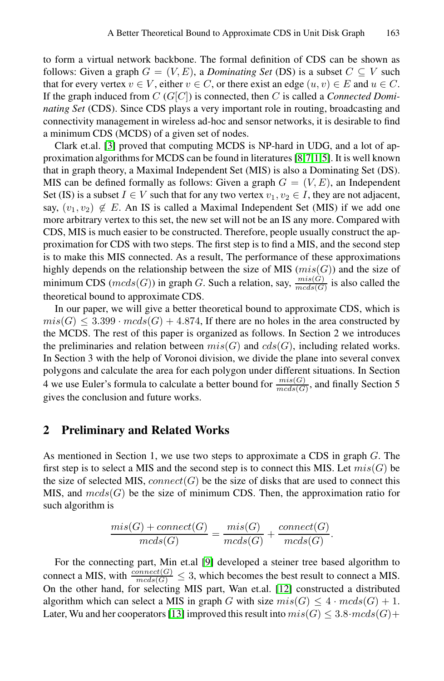to form a virtual network backbone. T[he](#page-12-2) [fo](#page-12-3)[r](#page-12-4)[ma](#page-12-5)l definition of CDS can be shown as follows: Given a graph  $G = (V, E)$ , a *Dominating Set* (DS) is a subset  $C \subseteq V$  such that for every vertex  $v \in V$ , either  $v \in C$ , or there exist an edge  $(u, v) \in E$  and  $u \in C$ . If the graph induced from C (G[C]) is connected, then C is called a *Connected Dominating Set* (CDS). Since CDS plays a very important role in routing, broadcasting and connectivity management in wireless ad-hoc and sensor networks, it is desirable to find a minimum CDS (MCDS) of a given set of nodes.

Clark et.al. [3] proved that computing MCDS is NP-hard in UDG, and a lot of approximation algorithms for MCDS can be found in literatures [8,7,1,5]. It is well known that in graph theory, a Maximal Independent Set (MIS) is also a Dominating Set (DS). MIS can be defined formally as follows: Given a graph  $G = (V, E)$ , an Independent Set (IS) is a subset  $I \in V$  such that for any two vertex  $v_1, v_2 \in I$ , they are not adjacent, say,  $(v_1, v_2) \notin E$ . An IS is called a Maximal Independent Set (MIS) if we add one more arbitrary vertex to this set, the new set will not be an IS any more. Compared with CDS, MIS is much easier to be constructed. Therefore, people usually construct the approximation for CDS with two steps. The first step is to find a MIS, and the second step is to make this MIS connected. As a result, The performance of these approximations highly depends on the relationship between the size of MIS  $(mis(G))$  and the size of minimum CDS ( $mcds(G)$ ) in graph G. Such a relation, say,  $\frac{mis(G)}{mcds(G)}$  is also called the theoretical bound to approximate CDS.

In our paper, we will give a better theoretical bound to approximate CDS, which is  $mis(G) \leq 3.399 \cdot mcds(G) + 4.874$ , If there are no holes in the area constructed by the MCDS. The rest of this paper is organized as follows. In Section 2 we introduces the preliminaries and relation between  $mis(G)$  and  $cds(G)$ , including related works. In Section 3 with the help of Voronoi division, we divide the plane into several convex polygons and calculate the area for each polygon under different situations. In Section 4 we use Euler's formula to calculate a better bound for  $\frac{mis(G)}{mcds(G)}$ , and finally Section 5 gives the conclusion and future works.

# **2 Preliminary and Related Works**

As mentioned in Section 1, we use two steps to approximate a CDS in graph  $G$ . The first step is to sele[ct](#page-13-2) a MIS and the second step is to connect this MIS. Let  $mis(G)$  be the size of selected MIS,  $connect(G)$  be the size of disks that are used to connect this MIS, and  $meds(G)$  be the size of [min](#page-13-3)imum CDS. Then, the approximation ratio for such algorithm is

$$
\frac{mis(G) + connect(G)}{mcds(G)} = \frac{mis(G)}{mcds(G)} + \frac{connect(G)}{mcds(G)}.
$$

For the connecting part, Min et.al [9] developed a steiner tree based algorithm to connect a MIS, with  $\frac{connect(G)}{meds(G)} \leq 3$ , which becomes the best result to connect a MIS. On the other hand, for selecting MIS part, Wan et.al. [12] constructed a distributed algorithm which can select a MIS in graph G with size  $mis(G) \leq 4 \cdot mcds(G) + 1$ . Later, Wu and her cooperators [13] improved this result into  $mis(G) \leq 3.8 \cdot mcds(G) +$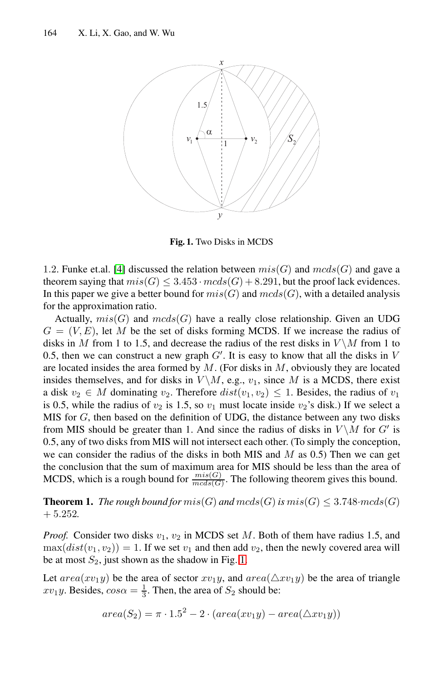

**Fig. 1.** Two Disks in MCDS

<span id="page-2-0"></span>1.2. Funke et.al. [4] discussed the relation between  $mis(G)$  and  $mcds(G)$  and gave a theorem saying that  $mis(G) \leq 3.453 \cdot meds(G) + 8.291$ , but the proof lack evidences. In this paper we give a better bound for  $mis(G)$  and  $mcds(G)$ , with a detailed analysis for the approximation ratio.

Actually,  $mis(G)$  and  $mcds(G)$  have a really close relationship. Given an UDG  $G = (V, E)$ , let M be the set of disks forming MCDS. If we increase the radius of disks in M from 1 to 1.5, and decrease the radius of the rest disks in  $V \backslash M$  from 1 to 0.5, then we can construct a new graph  $G'$ . It is easy to know that all the disks in V are located insides the area formed by  $M$ . (For disks in  $M$ , obviously they are located insides themselves, and for disks in  $V \setminus M$ , e.g.,  $v_1$ , since M is a MCDS, there exist a disk  $v_2 \in M$  dominating  $v_2$ . Therefore  $dist(v_1, v_2) \leq 1$ . Besides, the radius of  $v_1$ is 0.5, while the radius of  $v_2$  is 1.5, so  $v_1$  must locate inside  $v_2$ 's disk.) If we select a MIS for G, then based on the definition of UDG, the distance between any two disks from MIS should be greater than 1. And since the radius of disks in  $V \setminus M$  for  $G'$  is 0.5, any of two disks from MIS will not intersect each other. (To simply the conception, we can consider the radius of the disks in both MIS and  $M$  as 0.5) Then we can get the conclusion that the su[m o](#page-2-0)f maximum area for MIS should be less than the area of MCDS, which is a rough bound for  $\frac{mis(G)}{mcds(G)}$ . The following theorem gives this bound.

**Theorem 1.** *The rough bound for*  $mis(G)$  *and*  $mcds(G)$  *is*  $mis(G) \leq 3.748 \cdot mcds(G)$ + 5.252*.*

*Proof.* Consider two disks  $v_1$ ,  $v_2$  in MCDS set M. Both of them have radius 1.5, and  $max(dist(v_1, v_2)) = 1$ . If we set  $v_1$  and then add  $v_2$ , then the newly covered area will be at most  $S_2$ , just shown as the shadow in Fig. 1.

Let  $area(xv_1y)$  be the area of sector  $xv_1y$ , and  $area(\triangle xv_1y)$  be the area of triangle  $xv_1y$ . Besides,  $cos\alpha = \frac{1}{3}$ . Then, the area of  $S_2$  should be:

$$
area(S_2) = \pi \cdot 1.5^2 - 2 \cdot (area(xv_1y) - area(\triangle xv_1y))
$$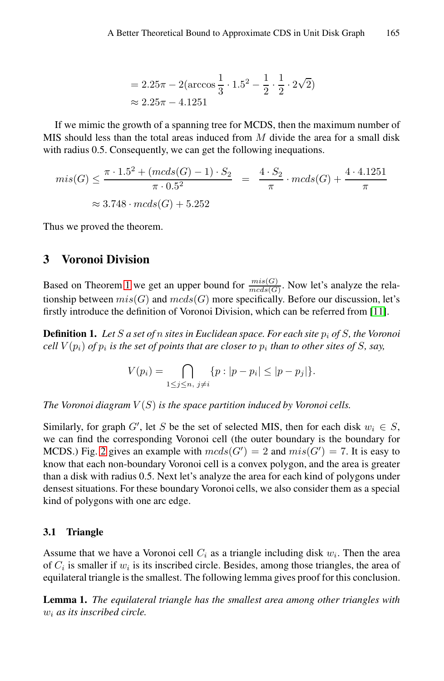$$
= 2.25\pi - 2(\arccos\frac{1}{3} \cdot 1.5^2 - \frac{1}{2} \cdot \frac{1}{2} \cdot 2\sqrt{2})
$$
  
≈ 2.25π – 4.1251

If we mimic the growth of a spanning tree for MCDS, then the maximum number of MIS should less than the total areas induced from M divide the area for a small disk with radius 0.5. Consequently, we can get the following inequations.

$$
mis(G) \le \frac{\pi \cdot 1.5^2 + (mcds(G) - 1) \cdot S_2}{\pi \cdot 0.5^2} = \frac{4 \cdot S_2}{\pi} \cdot mcds(G) + \frac{4 \cdot 4.1251}{\pi}
$$
  

$$
\approx 3.748 \cdot mcds(G) + 5.252
$$

Thus we proved the theorem.

# **3 Voronoi Division**

Based on Theorem 1 we get an upper bound for  $\frac{mis(G)}{mcds(G)}$ . Now let's analyze the relationship between  $mis(G)$  and  $mcds(G)$  more specifically. Before our discussion, let's firstly introduce the definition of Voronoi Division, which can be referred from [11].

**Definition 1.** Let S a set of n sites in Euclidean space. For each site  $p_i$  of S, the Voronoi *cell*  $V(p_i)$  *of*  $p_i$  *is the set of points that are closer to*  $p_i$  *than to other sites of S, say,* 

$$
V(p_i) = \bigcap_{1 \le j \le n, \ j \ne i} \{p : |p - p_i| \le |p - p_j|\}.
$$

*The Voronoi diagram*  $V(S)$  *is the space partition induced by Voronoi cells.* 

Similarly, for graph G', let S be the set of selected MIS, then for each disk  $w_i \in S$ , we can find the corresponding Voronoi cell (the outer boundary is the boundary for MCDS.) Fig. 2 gives an example with  $mcds(G') = 2$  and  $mis(G') = 7$ . It is easy to know that each non-boundary Voronoi cell is a convex polygon, and the area is greater than a disk with radius 0.5. Next let's analyze the area for each kind of polygons under densest situations. For these boundary Voronoi cells, we also consider them as a special kind of polygons with one arc edge.

## **3.1 Triangle**

Assume that we have a Voronoi cell  $C_i$  as a triangle including disk  $w_i$ . Then the area of  $C_i$  is smaller if  $w_i$  is its inscribed circle. Besides, among those triangles, the area of equilateral triangle is the smallest. The following lemma gives proof for this conclusion.

**Lemma 1.** *The equilateral triangle has the smallest area among other triangles with* w<sup>i</sup> *as its inscribed circle.*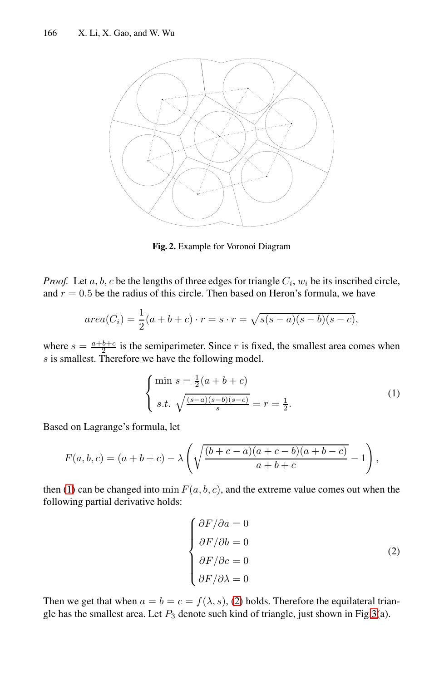

**Fig. 2.** Example for Voronoi Diagram

*Proof.* Let  $a, b, c$  be the lengths of three edges for triangle  $C_i$ ,  $w_i$  be its inscribed circle, and  $r = 0.5$  be the radius of this circle. Then based on Heron's formula, we have

$$
area(C_i) = \frac{1}{2}(a+b+c) \cdot r = s \cdot r = \sqrt{s(s-a)(s-b)(s-c)},
$$

where  $s = \frac{a+b+c}{2}$  is the semiperimeter. Since r is fixed, the smallest area comes when s is smallest. Therefore we have the following model.

$$
\begin{cases} \min s = \frac{1}{2}(a+b+c) \\ s.t. \sqrt{\frac{(s-a)(s-b)(s-c)}{s}} = r = \frac{1}{2} . \end{cases}
$$
 (1)

<span id="page-4-0"></span>Based on Lagrange's formula, let

$$
F(a, b, c) = (a + b + c) - \lambda \left( \sqrt{\frac{(b + c - a)(a + c - b)(a + b - c)}{a + b + c}} - 1 \right),
$$

then (1) can be changed into min  $F(a, b, c)$ , and the extreme value comes out when the following partial derivati[ve](#page-4-0) holds:

$$
\begin{cases}\n\frac{\partial F}{\partial a} = 0 \\
\frac{\partial F}{\partial b} = 0 \\
\frac{\partial F}{\partial c} = 0 \\
\frac{\partial F}{\partial \lambda} = 0\n\end{cases}
$$
\n(2)

Then we get that when  $a = b = c = f(\lambda, s)$ , (2) holds. Therefore the equilateral triangle has the smallest area. Let  $P_3$  denote such kind of triangle, just shown in Fig.3(a).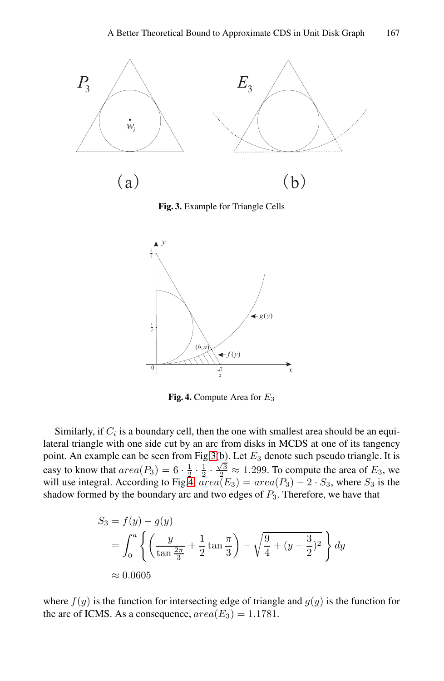

**Fig. 3.** Example for Triangle Cells



**Fig. 4.** Compute Area for E<sup>3</sup>

Similarly, if  $C_i$  is a boundary cell, then the one with smallest area should be an equilateral triangle with one side cut by an arc from disks in MCDS at one of its tangency point. An example can be seen from Fig.3(b). Let  $E_3$  denote such pseudo triangle. It is easy to know that  $area(P_3)=6 \cdot \frac{1}{2} \cdot \frac{1}{2} \cdot \frac{\sqrt{3}}{2} \approx 1.299$ . To compute the area of  $E_3$ , we will use integral. According to Fig.4,  $area(E_3) = area(P_3) - 2 \cdot S_3$ , where  $S_3$  is the shadow formed by the boundary arc and two edges of  $P_3$ . Therefore, we have that

$$
S_3 = f(y) - g(y)
$$
  
=  $\int_0^a \left\{ \left( \frac{y}{\tan \frac{2\pi}{3}} + \frac{1}{2} \tan \frac{\pi}{3} \right) - \sqrt{\frac{9}{4} + (y - \frac{3}{2})^2} \right\} dy$   
 $\approx 0.0605$ 

where  $f(y)$  is the function for intersecting edge of triangle and  $g(y)$  is the function for the arc of ICMS. As a consequence,  $area(E_3)=1.1781$ .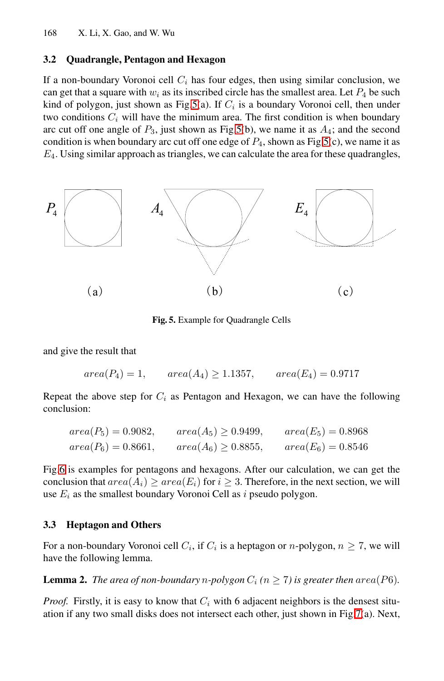#### **3.2 Quadrangle, Pentagon and Hexagon**

If a non-boundary Voronoi cell  $C_i$  has four edges, then using similar conclusion, we can get that a square with  $w_i$  as its inscribed circle has the smallest area. Let  $P_4$  be such kind of polygon, just shown as Fig.5(a). If  $C_i$  is a boundary Voronoi cell, then under two conditions  $C_i$  will have the minimum area. The first condition is when boundary arc cut off one angle of  $P_3$ , just shown as Fig.5(b), we name it as  $A_4$ ; and the second condition is when boundary arc cut off one edge of  $P_4$ , shown as Fig.5(c), we name it as  $E_4$ . Using similar approach as triangles, we can calculate the area for these quadrangles,

<span id="page-6-0"></span>

**Fig. 5.** Example for Quadrangle Cells

and give the result that

 $area(P_4)=1, \qquad area(A_4) \ge 1.1357, \qquad area(E_4)=0.9717$ 

Repeat the above step for  $C_i$  as Pentagon and Hexagon, we can have the following conclusion:

$$
area(P_5) = 0.9082, \qquad area(A_5) \ge 0.9499, \qquad area(E_5) = 0.8968
$$
  

$$
area(P_6) = 0.8661, \qquad area(A_6) \ge 0.8855, \qquad area(E_6) = 0.8546
$$

<span id="page-6-1"></span>Fig.6 is examples for pentagons and hexagons. After our calculation, we can get the conclusion that  $area(A_i) \geq area(E_i)$  for  $i \geq 3$ . Therefore, in the next section, we will use  $E_i$  as the smallest boundary Voronoi Cell as  $i$  pseudo polygon.

## **3.3 Heptagon and Others**

For a non-boundary Voronoi cell  $C_i$ , if  $C_i$  is a heptagon or *n*-polygon,  $n \ge 7$ , we will have the following lemma.

**Lemma 2.** *The area of non-boundary n-polygon*  $C_i$  ( $n \geq 7$ ) is greater then area(P6).

*Proof.* Firstly, it is easy to know that  $C_i$  with 6 adjacent neighbors is the densest situation if any two small disks does not intersect each other, just shown in Fig.7(a). Next,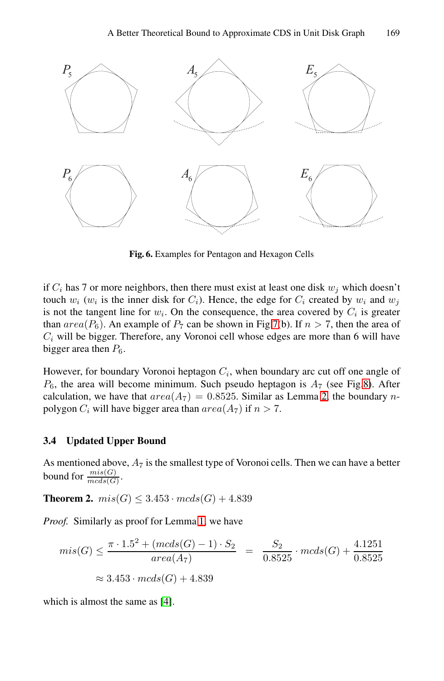

**Fig. 6.** Examples for Pentagon and Hexagon Cells

if  $C_i$  h[as](#page-8-0) 7 or more neighbors, then there must exist at least one disk  $w_j$  which doesn't touch  $w_i$  ( $w_i$  is the inner disk for  $C_i$ ). Hence[, t](#page-6-1)he edge for  $C_i$  created by  $w_i$  and  $w_j$ is not the tangent line for  $w_i$ . On the consequence, the area covered by  $C_i$  is greater than  $area(P_6)$ . An example of  $P_7$  can be shown in Fig.7(b). If  $n > 7$ , then the area of  $C<sub>i</sub>$  will be bigger. Therefore, any Voronoi cell whose edges are more than 6 will have bigger area then  $P_6$ .

However, for boundary Voronoi heptagon  $C_i$ , when boundary arc cut off one angle of  $P_6$ , the area will become minimum. Such pseudo heptagon is  $A_7$  (see Fig.8). After calculation, we have that  $area(A_7)=0.8525$ . Similar as Lemma 2, the boundary npolygon  $C_i$  will have bigger area than  $area(A_7)$  if  $n > 7$ .

## **3.4 Updated Upper Bound**

As mentioned above,  $A_7$  is the smallest type of Voronoi cells. Then we can have a better bound for  $\frac{mis(G)}{mcds(G)}$ .

**Theore[m](#page-12-6) 2.**  $mis(G) \leq 3.453 \cdot mcds(G) + 4.839$ 

*Proof.* Similarly as proof for Lemma 1, we have

$$
mis(G) \le \frac{\pi \cdot 1.5^2 + (mcds(G) - 1) \cdot S_2}{area(A_7)} = \frac{S_2}{0.8525} \cdot mcds(G) + \frac{4.1251}{0.8525}
$$
  

$$
\approx 3.453 \cdot mcds(G) + 4.839
$$

which is almost the same as [4].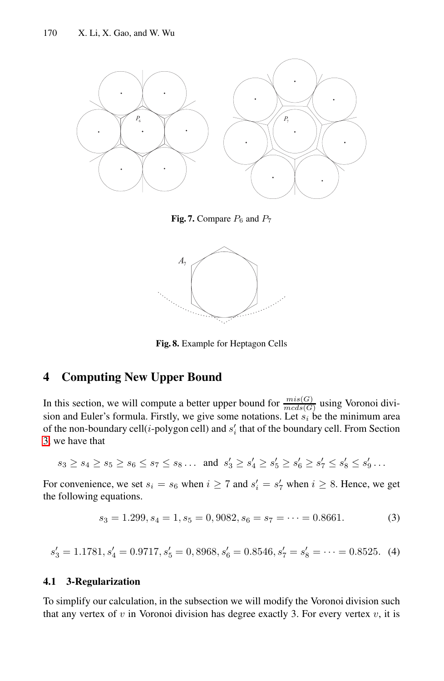

**Fig. 7.** Compare  $P_6$  and  $P_7$ 



**Fig. 8.** Example for Heptagon Cells

# <span id="page-8-0"></span>**4 Computing New Upper Bound**

<span id="page-8-1"></span>In this section, we will compute a better upper bound for  $\frac{mis(G)}{mcds(G)}$  using Voronoi division and Euler's formula. Firstly, we give some notations. Let  $s_i$  be the minimum area of the non-boundary cell( $i$ -polygon cell) and  $s'_{i}$  that of the boundary cell. From Section 3, we have that

 $s_3 \geq s_4 \geq s_5 \geq s_6 \leq s_7 \leq s_8 \dots$  and  $s'_3 \geq s'_4 \geq s'_5 \geq s'_6 \geq s'_7 \leq s'_8 \leq s'_9 \dots$ 

<span id="page-8-2"></span>For convenience, we set  $s_i = s_6$  when  $i \ge 7$  and  $s'_i = s'_7$  when  $i \ge 8$ . Hence, we get the following equations.

$$
s_3 = 1.299, s_4 = 1, s_5 = 0,9082, s_6 = s_7 = \dots = 0.8661. \tag{3}
$$

 $s'_3 = 1.1781, s'_4 = 0.9717, s'_5 = 0,8968, s'_6 = 0.8546, s'_7 = s'_8 = \cdots = 0.8525.$  (4)

## **4.1 3-Regularization**

To simplify our calculation, in the subsection we will modify the Voronoi division such that any vertex of  $v$  in Voronoi division has degree exactly 3. For every vertex  $v$ , it is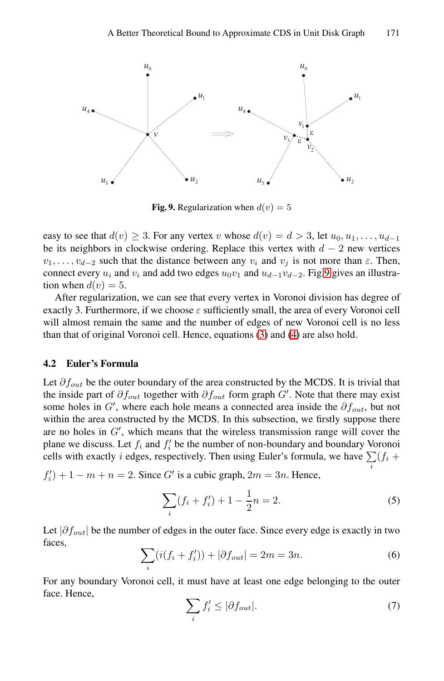

**Fig. 9.** Regularization when  $d(v)=5$ 

<span id="page-9-2"></span>easy to see that  $d(v) \geq 3$ . For [any](#page-8-1) vert[ex](#page-8-2) v whose  $d(v) = d > 3$ , let  $u_0, u_1, \ldots, u_{d-1}$ be its neighbors in clockwise ordering. Replace this vertex with  $d - 2$  new vertices  $v_1, \ldots, v_{d-2}$  such that the distance between any  $v_i$  and  $v_j$  is not more than  $\varepsilon$ . Then, connect every  $u_i$  and  $v_i$  and add two edges  $u_0v_1$  and  $u_{d-1}v_{d-2}$ . Fig.9 gives an illustration when  $d(v)=5$ .

After regularization, we can see that every vertex in Voronoi division has degree of exactly 3. Furthermore, if we choose  $\varepsilon$  sufficiently small, the area of every Voronoi cell will almost remain the same and the number of edges of new Voronoi cell is no less than that of original Voronoi cell. Hence, equations (3) and (4) are also hold.

#### **4.2 Euler's Formula**

Let  $\partial f_{out}$  be the outer boundary of the area constructed by the MCDS. It is trivial that the inside part of  $\partial f_{out}$  together with  $\partial f_{out}$  form graph G'. Note that there may exist some holes in G', where each hole means a connected area inside the  $\partial f_{out}$ , but not within the area constructed by the MCDS. In this subsection, we firstly suppose there are no holes in  $G'$ , which means that the wireless transmission range will cover the plane we discuss. Let  $f_i$  and  $f'_i$  be the number of non-boundary and boundary Voronoi cells with exactly *i* edges, respectively. Then using Euler's formula, we have  $\sum_{i} (f_i +$ 

<span id="page-9-1"></span> $f'_{i}$  + 1 –  $m + n = 2$ . Since G' is a cubic graph,  $2m = 3n$ . Hence,

<span id="page-9-0"></span>
$$
\sum_{i} (f_i + f'_i) + 1 - \frac{1}{2}n = 2.
$$
 (5)

Let  $|\partial f_{out}|$  be the number of edges in the outer face. Since every edge is exactly in two faces,

$$
\sum_{i} (i(f_i + f'_i)) + |\partial f_{out}| = 2m = 3n.
$$
 (6)

For any boundary Voronoi cell, it must have at least one edge belonging to the outer face. Hence,

$$
\sum_{i} f'_i \le |\partial f_{out}|. \tag{7}
$$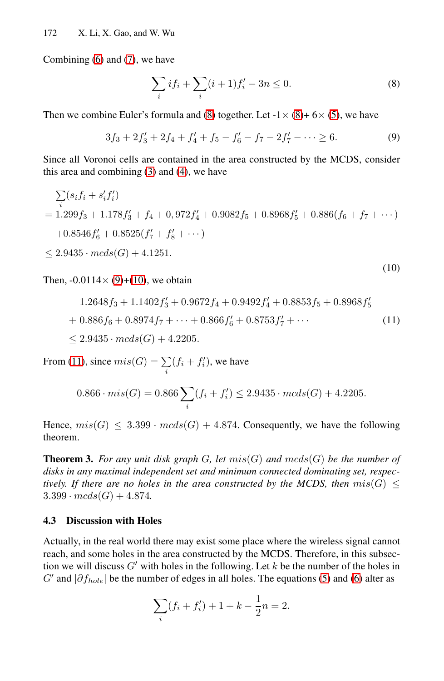Combining (6) and (7), we have

$$
\sum_{i} if_i + \sum_{i} (i+1)f'_i - 3n \le 0.
$$
 (8)

(10)

Then we combine Euler's formula and (8) together. Let  $-1 \times (8) + 6 \times (5)$ , we have

$$
3f_3 + 2f'_3 + 2f_4 + f'_4 + f_5 - f'_6 - f_7 - 2f'_7 - \dots \ge 6. \tag{9}
$$

Since all Voronoi cells are contained in the area constructed by the MCDS, consider this area and combining (3) and (4), we have

$$
\sum_{i} (s_i f_i + s'_i f'_i)
$$
  
= 1.299f<sub>3</sub> + 1.178f'<sub>3</sub> + f<sub>4</sub> + 0,972f'<sub>4</sub> + 0.9082f<sub>5</sub> + 0.8968f'<sub>5</sub> + 0.886(f<sub>6</sub> + f<sub>7</sub> + ...)  
+ 0.8546f'<sub>6</sub> + 0.8525(f'<sub>7</sub> + f'<sub>8</sub> + ...)  
 $\le$  2.9435 ·  $mcds(G)$  + 4.1251.

Then,  $-0.0114 \times (9)+(10)$ , we obtain

$$
1.2648f_3 + 1.1402f'_3 + 0.9672f_4 + 0.9492f'_4 + 0.8853f_5 + 0.8968f'_5
$$
  
+ 0.886f\_6 + 0.8974f\_7 + \dots + 0.866f'\_6 + 0.8753f'\_7 + \dots  

$$
\leq 2.9435 \cdot mcds(G) + 4.2205.
$$
 (11)

From (11), since  $mis(G) = \sum_{i} (f_i + f'_i)$ , we have

$$
0.866 \cdot mis(G) = 0.866 \sum_{i} (f_i + f'_i) \le 2.9435 \cdot mcds(G) + 4.2205.
$$

Hence,  $mis(G) \leq 3.399 \cdot mcds(G) + 4.874$ . Consequently, we have the following theorem.

**Theorem 3.** For any unit disk graph  $G$ , let  $mis(G)$  and  $mcds(G)$  be the number of *disks in any maximal independent set and minimum connected dominating set, respectively. If there are no holes in the area cons[tru](#page-9-0)cted [by](#page-9-1) the MCDS, then*  $mis(G) \leq$  $3.399 \cdot mcds(G) + 4.874.$ 

## **4.3 Discussion with Holes**

Actually, in the real world there may exist some place where the wireless signal cannot reach, and some holes in the area constructed by the MCDS. Therefore, in this subsection we will discuss  $G'$  with holes in the following. Let k be the number of the holes in G' and  $|\partial f_{hole}|$  be the number of edges in all holes. The equations (5) and (6) alter as

$$
\sum_{i} (f_i + f'_i) + 1 + k - \frac{1}{2}n = 2.
$$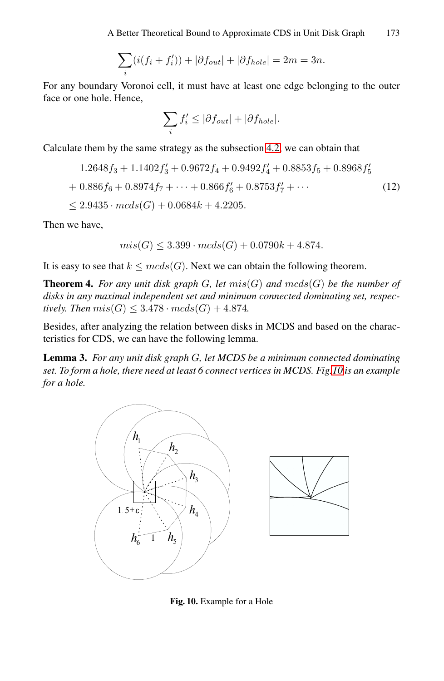A Better Theoretical Bound to Approximate CDS in Unit Disk Graph 173

$$
\sum_{i} (i(f_i + f'_i)) + |\partial f_{out}| + |\partial f_{hole}| = 2m = 3n.
$$

For any boundary Voronoi cell, it must have at least one edge belonging to the outer face or one hole. Hence,

$$
\sum_{i} f'_{i} \leq |\partial f_{out}| + |\partial f_{hole}|.
$$

Calculate them by the same strategy as the subsection 4.2, we can obtain that

$$
1.2648f_3 + 1.1402f'_3 + 0.9672f_4 + 0.9492f'_4 + 0.8853f_5 + 0.8968f'_5
$$
  
+ 0.886f\_6 + 0.8974f\_7 + \dots + 0.866f'\_6 + 0.8753f'\_7 + \dots  

$$
\leq 2.9435 \cdot \text{mcds}(G) + 0.0684k + 4.2205.
$$
 (12)

Then we have,

$$
mis(G) \le 3.399 \cdot mcds(G) + 0.0790k + 4.874.
$$

It is easy to see that  $k \leq mcds(G)$ . Next we can [obta](#page-11-0)in the following theorem.

**Theorem 4.** For any unit disk graph G, let  $mis(G)$  and  $mcds(G)$  be the number of *disks in any maximal independent set and minimum connected dominating set, respectively. Then*  $mis(G) \leq 3.478 \cdot mcds(G) + 4.874$ .

Besides, after analyzing the relation between disks in MCDS and based on the characteristics for CDS, we can have the following lemma.

**Lemma 3.** *For any unit disk graph* G*, let MCDS be a minimum connected dominating set. To form a hole, there need at least 6 connect vertices in MCDS. Fig.10 is an example for a hole.*

<span id="page-11-0"></span>

**Fig. 10.** Example for a Hole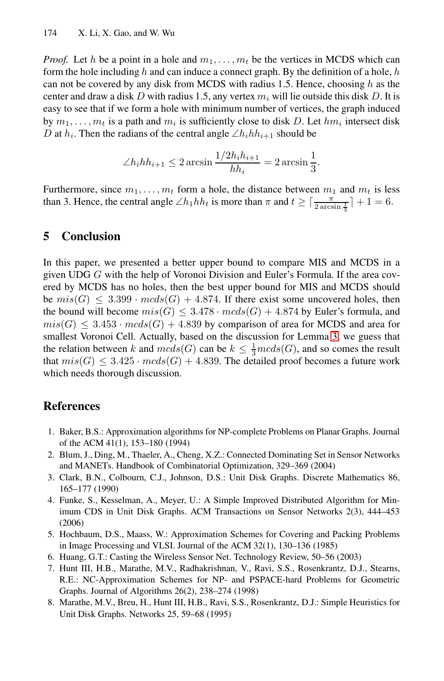*Proof.* Let h be a point in a hole and  $m_1, \ldots, m_t$  be the vertices in MCDS which can form the hole including h and can induce a connect graph. By the definition of a hole, h can not be covered by any disk from MCDS with radius 1.5. Hence, choosing h as the center and draw a disk D with radius 1.5, any vertex  $m_i$  will lie outside this disk D. It is easy to see that if we form a hole with minimum number of vertices, the graph induced by  $m_1, \ldots, m_t$  is a path and  $m_i$  is sufficiently close to disk D. Let  $hm_i$  intersect disk D at  $h_i$ . Then the radians of the central angle  $\angle h_i h h_{i+1}$  should be

$$
\angle h_i h h_{i+1} \le 2 \arcsin \frac{1/2h_i h_{i+1}}{h h_i} = 2 \arcsin \frac{1}{3}.
$$

Furthermore, since  $m_1, \ldots, m_t$  form a hole, the distance between  $m_1$  and  $m_t$  is less than 3. Hence, the central angle  $\angle h_1 h h_t$  is more than  $\pi$  and  $t \ge \lceil \frac{\pi}{2 \arcsin \frac{1}{3}} \rceil + 1 = 6$ .

## **5 Conclusion**

<span id="page-12-4"></span>In this paper, we presented a better upper bound to compare MIS and MCDS in a given UDG G with the help of Voronoi Division and Euler's Formula. If the area covered by MCDS has no holes, then the best upper bound for MIS and MCDS should be  $mis(G) \leq 3.399 \cdot mcds(G) + 4.874$ . If there exist some uncovered holes, then the bound will become  $mis(G) \leq 3.478 \cdot mcds(G) + 4.874$  by Euler's formula, and  $mis(G) \leq 3.453 \cdot meds(G) + 4.839$  by comparison of area for MCDS and area for smallest Voronoi Cell. Actually, based on the discussion for Lemma 3, we guess that the relation between k and  $mcds(G)$  can be  $k \leq \frac{1}{3}mcds(G)$ , and so comes the result that  $mis(G) \leq 3.425 \cdot mcds(G) + 4.839$ . The detailed proof becomes a future work which needs thorough discussion.

# <span id="page-12-6"></span><span id="page-12-5"></span><span id="page-12-1"></span>**References**

- 1. Baker, B.S.: Approximation algorithms for NP-complete Problems on Planar Graphs. Journal of the ACM 41(1), 153–180 (1994)
- <span id="page-12-3"></span><span id="page-12-0"></span>2. Blum, J., Ding, M., Thaeler, A., Cheng, X.Z.: Connected Dominating Set in Sensor Networks and MANETs. Handbook of Combinatorial Optimization, 329–369 (2004)
- 3. Clark, B.N., Colbourn, C.J., Johnson, D.S.: Unit Disk Graphs. Discrete Mathematics 86, 165–177 (1990)
- <span id="page-12-2"></span>4. Funke, S., Kesselman, A., Meyer, U.: A Simple Improved Distributed Algorithm for Minimum CDS in Unit Disk Graphs. ACM Transactions on Sensor Networks 2(3), 444–453 (2006)
- 5. Hochbaum, D.S., Maass, W.: Approximation Schemes for Covering and Packing Problems in Image Processing and VLSI. Journal of the ACM 32(1), 130–136 (1985)
- 6. Huang, G.T.: Casting the Wireless Sensor Net. Technology Review, 50–56 (2003)
- 7. Hunt III, H.B., Marathe, M.V., Radhakrishnan, V., Ravi, S.S., Rosenkrantz, D.J., Stearns, R.E.: NC-Approximation Schemes for NP- and PSPACE-hard Problems for Geometric Graphs. Journal of Algorithms 26(2), 238–274 (1998)
- 8. Marathe, M.V., Breu, H., Hunt III, H.B., Ravi, S.S., Rosenkrantz, D.J.: Simple Heuristics for Unit Disk Graphs. Networks 25, 59–68 (1995)